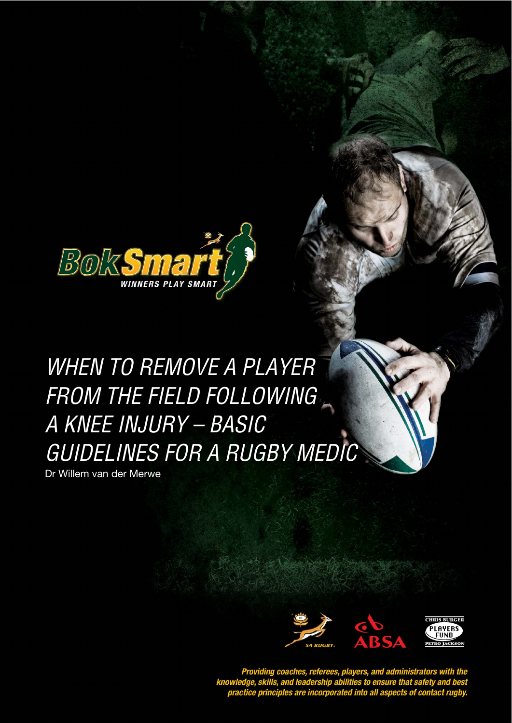

# WHEN TO REMOVE A PLAYER FROM THE FIELD FOLLOWING A KNEE INJURY – BASIC GUIDELINES FOR A RUGBY MEDIC

When to Remove a Player from the Field following a Knee Injury – Basic Guidelines for a Rugby Medical for a Ru

Dr Willem van der Merwe



Providing coaches, referees, players, and administrators with the<br>knowledge, skills, and leadership abilities to ensure that safety and best<br>practice principles are incorporated into all aspects of contact rugby.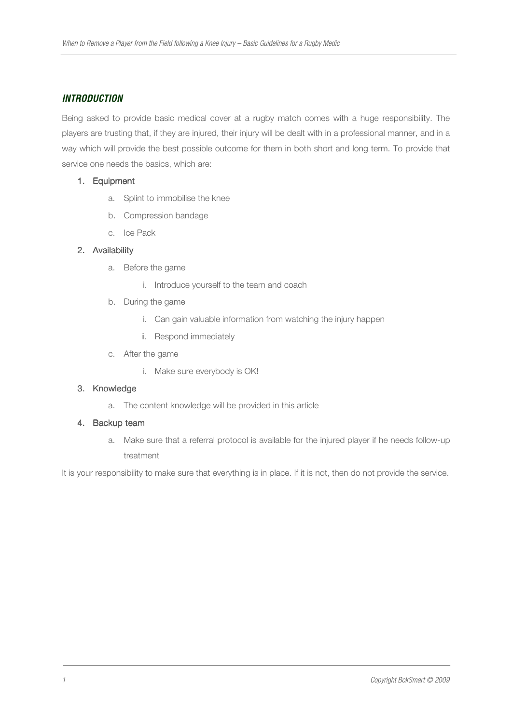## **INTRODUCTION**

Being asked to provide basic medical cover at a rugby match comes with a huge responsibility. The players are trusting that, if they are injured, their injury will be dealt with in a professional manner, and in a way which will provide the best possible outcome for them in both short and long term. To provide that service one needs the basics, which are:

#### 1. Equipment

- a. Splint to immobilise the knee
- b. Compression bandage
- c. Ice Pack

## 2. Availability

- a. Before the game
	- i. Introduce yourself to the team and coach
- b. During the game
	- i. Can gain valuable information from watching the injury happen
	- ii. Respond immediately
- c. After the game
	- i. Make sure everybody is OK!

## 3. Knowledge

a. The content knowledge will be provided in this article

## 4. Backup team

a. Make sure that a referral protocol is available for the injured player if he needs follow-up treatment

It is your responsibility to make sure that everything is in place. If it is not, then do not provide the service.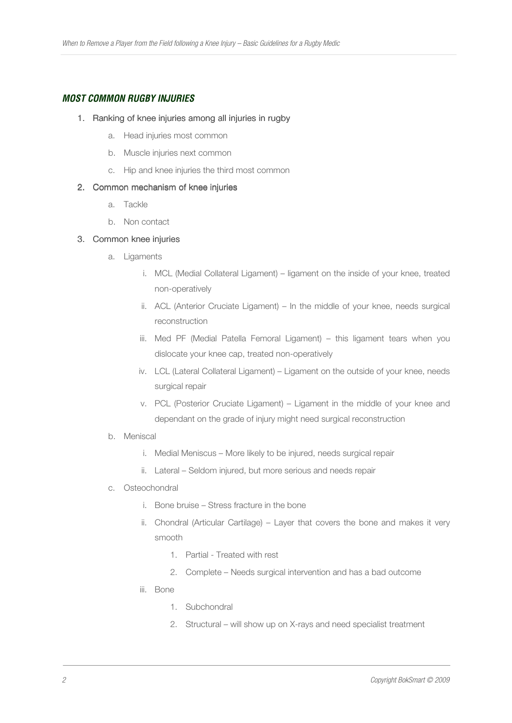# **MOST COMMON RUGBY INJURIES**

#### 1. Ranking of knee injuries among all injuries in rugby

- a. Head injuries most common
- b. Muscle injuries next common
- c. Hip and knee injuries the third most common

#### 2. Common mechanism of knee injuries

- a. Tackle
- b. Non contact

#### 3. Common knee injuries

- a. Ligaments
	- i. MCL (Medial Collateral Ligament) ligament on the inside of your knee, treated non-operatively
	- ii. ACL (Anterior Cruciate Ligament) In the middle of your knee, needs surgical reconstruction
	- iii. Med PF (Medial Patella Femoral Ligament) this ligament tears when you dislocate your knee cap, treated non-operatively
	- iv. LCL (Lateral Collateral Ligament) Ligament on the outside of your knee, needs surgical repair
	- v. PCL (Posterior Cruciate Ligament) Ligament in the middle of your knee and dependant on the grade of injury might need surgical reconstruction
- b. Meniscal
	- i. Medial Meniscus More likely to be injured, needs surgical repair
	- ii. Lateral Seldom injured, but more serious and needs repair
- c. Osteochondral
	- i. Bone bruise Stress fracture in the bone
	- ii. Chondral (Articular Cartilage) Layer that covers the bone and makes it very smooth
		- 1. Partial Treated with rest
		- 2. Complete Needs surgical intervention and has a bad outcome
	- iii. Bone
		- 1. Subchondral
		- 2. Structural will show up on X-rays and need specialist treatment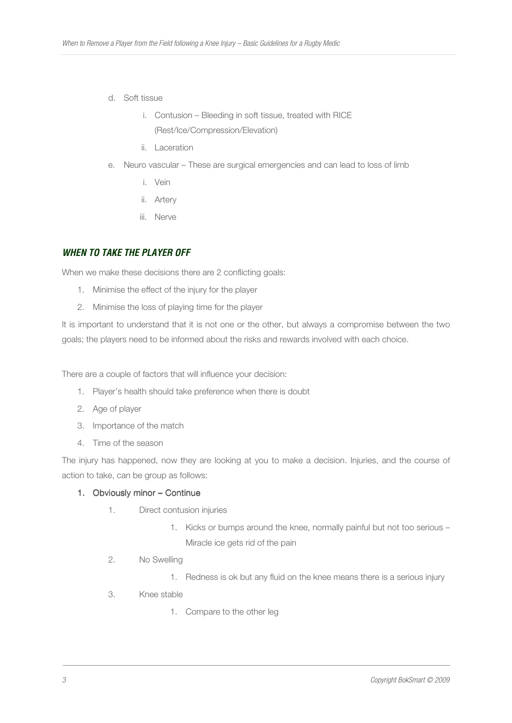- d. Soft tissue
	- i. Contusion Bleeding in soft tissue, treated with RICE (Rest/Ice/Compression/Elevation)
	- ii. Laceration
- e. Neuro vascular These are surgical emergencies and can lead to loss of limb
	- i. Vein
	- ii. Artery
	- iii. Nerve

# **WHEN TO TAKE THE PLAYER OFF**

When we make these decisions there are 2 conflicting goals:

- 1. Minimise the effect of the injury for the player
- 2. Minimise the loss of playing time for the player

It is important to understand that it is not one or the other, but always a compromise between the two goals; the players need to be informed about the risks and rewards involved with each choice.

There are a couple of factors that will influence your decision:

- 1. Player's health should take preference when there is doubt
- 2. Age of player
- 3. Importance of the match
- 4. Time of the season

The injury has happened, now they are looking at you to make a decision. Injuries, and the course of action to take, can be group as follows:

## 1. Obviously minor – Continue

- 1. Direct contusion injuries
	- 1. Kicks or bumps around the knee, normally painful but not too serious Miracle ice gets rid of the pain
- 2. No Swelling
	- 1. Redness is ok but any fluid on the knee means there is a serious injury
- 3. Knee stable
	- 1. Compare to the other leg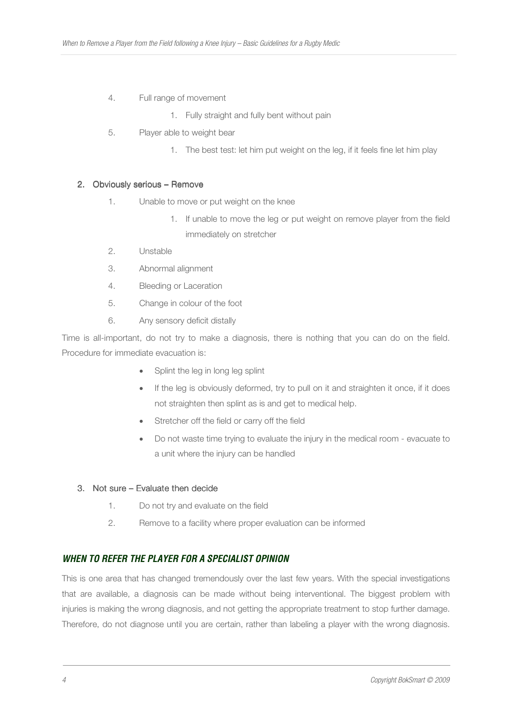## 4. Full range of movement

- 1. Fully straight and fully bent without pain
- 5. Player able to weight bear
	- 1. The best test: let him put weight on the leg, if it feels fine let him play

## 2. Obviously serious – Remove

- 1. Unable to move or put weight on the knee
	- 1. If unable to move the leg or put weight on remove player from the field immediately on stretcher
- 2. Unstable
- 3. Abnormal alignment
- 4. Bleeding or Laceration
- 5. Change in colour of the foot
- 6. Any sensory deficit distally

Time is all-important, do not try to make a diagnosis, there is nothing that you can do on the field. Procedure for immediate evacuation is:

- Splint the leg in long leg splint
- If the leg is obviously deformed, try to pull on it and straighten it once, if it does not straighten then splint as is and get to medical help.
- Stretcher off the field or carry off the field
- Do not waste time trying to evaluate the injury in the medical room evacuate to a unit where the injury can be handled

## 3. Not sure – Evaluate then decide

- 1. Do not try and evaluate on the field
- 2. Remove to a facility where proper evaluation can be informed

# **WHEN TO REFER THE PLAYER FOR A SPECIALIST OPINION**

This is one area that has changed tremendously over the last few years. With the special investigations that are available, a diagnosis can be made without being interventional. The biggest problem with injuries is making the wrong diagnosis, and not getting the appropriate treatment to stop further damage. Therefore, do not diagnose until you are certain, rather than labeling a player with the wrong diagnosis.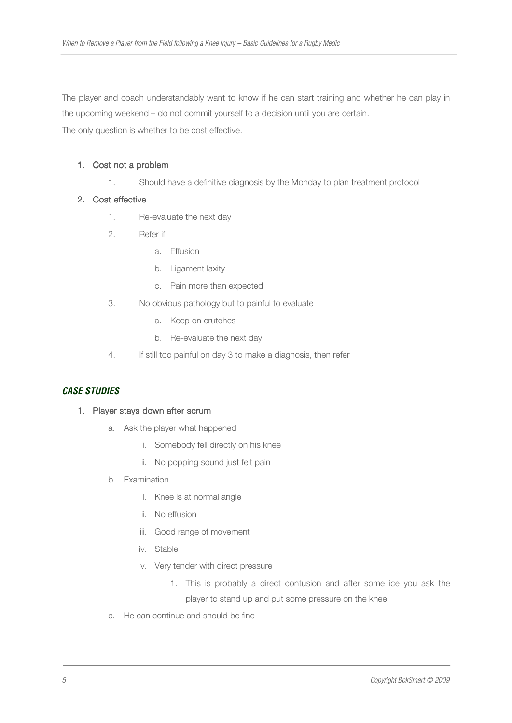The player and coach understandably want to know if he can start training and whether he can play in the upcoming weekend – do not commit yourself to a decision until you are certain.

The only question is whether to be cost effective.

# 1. Cost not a problem

1. Should have a definitive diagnosis by the Monday to plan treatment protocol

# 2. Cost effective

- 1. Re-evaluate the next day
- 2. Refer if
	- a. Effusion
	- b. Ligament laxity
	- c. Pain more than expected
- 3. No obvious pathology but to painful to evaluate
	- a. Keep on crutches
	- b. Re-evaluate the next day
- 4. If still too painful on day 3 to make a diagnosis, then refer

# **CASE STUDIES**

## 1. Player stays down after scrum

- a. Ask the player what happened
	- i. Somebody fell directly on his knee
	- ii. No popping sound just felt pain
- b. Examination
	- i. Knee is at normal angle
	- ii. No effusion
	- iii. Good range of movement
	- iv. Stable
	- v. Very tender with direct pressure
		- 1. This is probably a direct contusion and after some ice you ask the player to stand up and put some pressure on the knee
- c. He can continue and should be fine